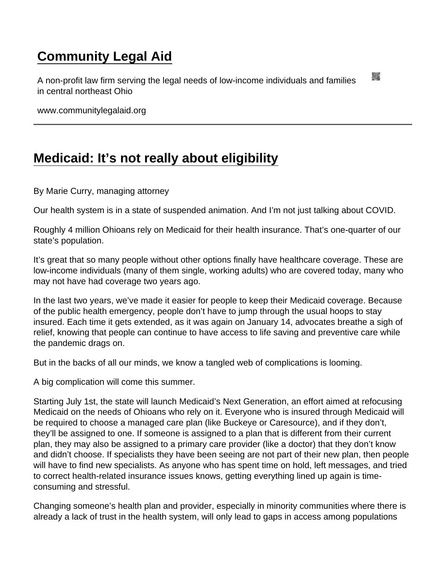## [Community Legal Aid](https://www.communitylegalaid.org/)

A non-profit law firm serving the legal needs of low-income individuals and families in central northeast Ohio

www.communitylegalaid.org

## [Medicaid: It's not really about eligibility](https://www.communitylegalaid.org/node/1658/medicaid-it’s-not-really-about-eligibility)

By Marie Curry, managing attorney

Our health system is in a state of suspended animation. And I'm not just talking about COVID.

Roughly 4 million Ohioans rely on Medicaid for their health insurance. That's one-quarter of our state's population.

It's great that so many people without other options finally have healthcare coverage. These are low-income individuals (many of them single, working adults) who are covered today, many who may not have had coverage two years ago.

In the last two years, we've made it easier for people to keep their Medicaid coverage. Because of the public health emergency, people don't have to jump through the usual hoops to stay insured. Each time it gets extended, as it was again on January 14, advocates breathe a sigh of relief, knowing that people can continue to have access to life saving and preventive care while the pandemic drags on.

But in the backs of all our minds, we know a tangled web of complications is looming.

A big complication will come this summer.

Starting July 1st, the state will launch Medicaid's Next Generation, an effort aimed at refocusing Medicaid on the needs of Ohioans who rely on it. Everyone who is insured through Medicaid will be required to choose a managed care plan (like Buckeye or Caresource), and if they don't, they'll be assigned to one. If someone is assigned to a plan that is different from their current plan, they may also be assigned to a primary care provider (like a doctor) that they don't know and didn't choose. If specialists they have been seeing are not part of their new plan, then people will have to find new specialists. As anyone who has spent time on hold, left messages, and tried to correct health-related insurance issues knows, getting everything lined up again is timeconsuming and stressful.

Changing someone's health plan and provider, especially in minority communities where there is already a lack of trust in the health system, will only lead to gaps in access among populations